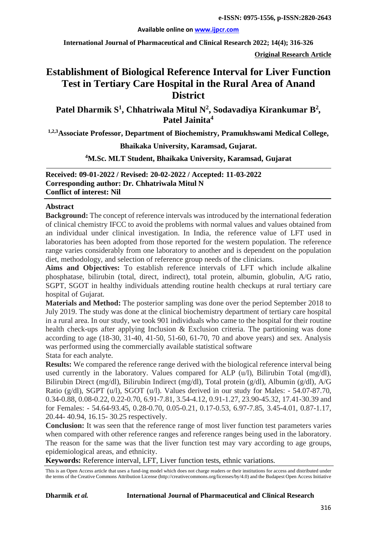#### **Available online on [www.ijpcr.com](http://www.ijpcr.com/)**

**International Journal of Pharmaceutical and Clinical Research 2022; 14(4); 316-326**

**Original Research Article**

# **Establishment of Biological Reference Interval for Liver Function Test in Tertiary Care Hospital in the Rural Area of Anand District**

Patel Dharmik S<sup>1</sup>, Chhatriwala Mitul N<sup>2</sup>, Sodavadiya Kirankumar B<sup>2</sup>, **Patel Jainita4**

**1,2,3Associate Professor, Department of Biochemistry, Pramukhswami Medical College,**

**Bhaikaka University, Karamsad, Gujarat.**

## **4 M.Sc. MLT Student, Bhaikaka University, Karamsad, Gujarat**

**Received: 09-01-2022 / Revised: 20-02-2022 / Accepted: 11-03-2022 Corresponding author: Dr. Chhatriwala Mitul N Conflict of interest: Nil**

#### **Abstract**

**Background:** The concept of reference intervals was introduced by the international federation of clinical chemistry IFCC to avoid the problems with normal values and values obtained from an individual under clinical investigation. In India, the reference value of LFT used in laboratories has been adopted from those reported for the western population. The reference range varies considerably from one laboratory to another and is dependent on the population diet, methodology, and selection of reference group needs of the clinicians.

**Aims and Objectives:** To establish reference intervals of LFT which include alkaline phosphatase, bilirubin (total, direct, indirect), total protein, albumin, globulin, A/G ratio, SGPT, SGOT in healthy individuals attending routine health checkups at rural tertiary care hospital of Gujarat.

**Materials and Method:** The posterior sampling was done over the period September 2018 to July 2019. The study was done at the clinical biochemistry department of tertiary care hospital in a rural area. In our study, we took 901 individuals who came to the hospital for their routine health check-ups after applying Inclusion & Exclusion criteria. The partitioning was done according to age (18-30, 31-40, 41-50, 51-60, 61-70, 70 and above years) and sex. Analysis was performed using the commercially available statistical software Stata for each analyte.

**Results:** We compared the reference range derived with the biological reference interval being used currently in the laboratory. Values compared for ALP (u/l), Bilirubin Total (mg/dl), Bilirubin Direct (mg/dl), Bilirubin Indirect (mg/dl), Total protein (g/dl), Albumin (g/dl), A/G Ratio (g/dl), SGPT (u/l), SGOT (u/l). Values derived in our study for Males: - 54.07-87.70, 0.34-0.88, 0.08-0.22, 0.22-0.70, 6.91-7.81, 3.54-4.12, 0.91-1.27, 23.90-45.32, 17.41-30.39 and for Females: - 54.64-93.45, 0.28-0.70, 0.05-0.21, 0.17-0.53, 6.97-7.85, 3.45-4.01, 0.87-1.17, 20.44- 40.94, 16.15- 30.25 respectively.

**Conclusion:** It was seen that the reference range of most liver function test parameters varies when compared with other reference ranges and reference ranges being used in the laboratory. The reason for the same was that the liver function test may vary according to age groups, epidemiological areas, and ethnicity.

**Keywords:** Reference interval, LFT, Liver function tests, ethnic variations.

This is an Open Access article that uses a fund-ing model which does not charge readers or their institutions for access and distributed under the terms of the Creative Commons Attribution License (http://creativecommons.org/licenses/by/4.0) and the Budapest Open Access Initiative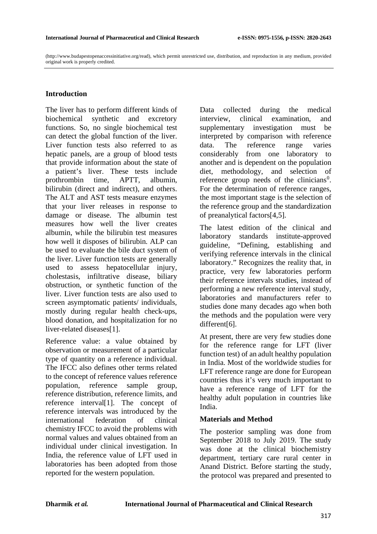(http://www.budapestopenaccessinitiative.org/read), which permit unrestricted use, distribution, and reproduction in any medium, provided original work is properly credited.

## **Introduction**

The liver has to perform different kinds of biochemical synthetic and excretory functions. So, no single biochemical test can detect the global function of the liver. Liver function tests also referred to as hepatic panels, are a group of blood tests that provide information about the state of a patient's liver. These tests include prothrombin time, APTT, albumin, bilirubin (direct and indirect), and others. The ALT and AST tests measure enzymes that your liver releases in response to damage or disease. The albumin test measures how well the liver creates albumin, while the bilirubin test measures how well it disposes of bilirubin. ALP can be used to evaluate the bile duct system of the liver. Liver function tests are generally used to assess hepatocellular injury, cholestasis, infiltrative disease, biliary obstruction, or synthetic function of the liver. Liver function tests are also used to screen asymptomatic patients/ individuals, mostly during regular health check-ups, blood donation, and hospitalization for no liver-related diseases[1].

Reference value: a value obtained by observation or measurement of a particular type of quantity on a reference individual. The IFCC also defines other terms related to the concept of reference values reference population, reference sample group, reference distribution, reference limits, and reference interval[1]. The concept of reference intervals was introduced by the international federation of clinical chemistry IFCC to avoid the problems with normal values and values obtained from an individual under clinical investigation. In India, the reference value of LFT used in laboratories has been adopted from those reported for the western population.

Data collected during the medical interview, clinical examination, and supplementary investigation must be interpreted by comparison with reference data. The reference range varies considerably from one laboratory to another and is dependent on the population diet, methodology, and selection of reference group needs of the clinicians<sup>[0](#page-10-0)</sup>. For the determination of reference ranges, the most important stage is the selection of the reference group and the standardization of preanalytical factors[4,5].

The latest edition of the clinical and laboratory standards institute-approved guideline, "Defining, establishing and verifying reference intervals in the clinical laboratory." Recognizes the reality that, in practice, very few laboratories perform their reference intervals studies, instead of performing a new reference interval study, laboratories and manufacturers refer to studies done many decades ago when both the methods and the population were very different[6].

At present, there are very few studies done for the reference range for LFT (liver function test) of an adult healthy population in India. Most of the worldwide studies for LFT reference range are done for European countries thus it's very much important to have a reference range of LFT for the healthy adult population in countries like India.

## **Materials and Method**

The posterior sampling was done from September 2018 to July 2019. The study was done at the clinical biochemistry department, tertiary care rural center in Anand District. Before starting the study, the protocol was prepared and presented to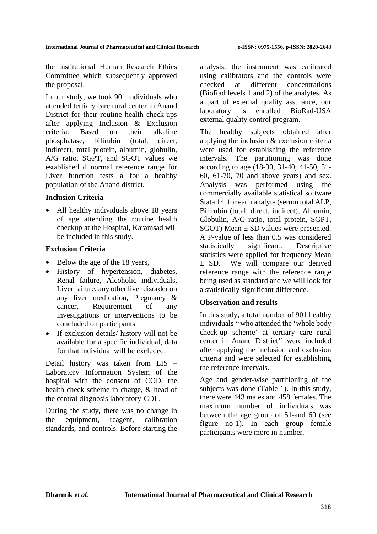the institutional Human Research Ethics Committee which subsequently approved the proposal.

In our study, we took 901 individuals who attended tertiary care rural center in Anand District for their routine health check-ups after applying Inclusion & Exclusion criteria. Based on their alkaline phosphatase, bilirubin (total, direct, indirect), total protein, albumin, globulin, A/G ratio, SGPT, and SGOT values we established d normal reference range for Liver function tests a for a healthy population of the Anand district.

## **Inclusion Criteria**

All healthy individuals above 18 years of age attending the routine health checkup at the Hospital, Karamsad will be included in this study.

## **Exclusion Criteria**

- Below the age of the 18 years,
- History of hypertension, diabetes, Renal failure, Alcoholic individuals, Liver failure, any other liver disorder on any liver medication, Pregnancy & cancer, Requirement of any investigations or interventions to be concluded on participants
- If exclusion details/ history will not be available for a specific individual, data for that individual will be excluded.

Detail history was taken from LIS – Laboratory Information System of the hospital with the consent of COD, the health check scheme in charge, & head of the central diagnosis laboratory-CDL.

During the study, there was no change in the equipment, reagent, calibration standards, and controls. Before starting the analysis, the instrument was calibrated using calibrators and the controls were checked at different concentrations (BioRad levels 1 and 2) of the analytes. As a part of external quality assurance, our laboratory is enrolled BioRad-USA external quality control program.

The healthy subjects obtained after applying the inclusion & exclusion criteria were used for establishing the reference intervals. The partitioning was done according to age (18-30, 31-40, 41-50, 51- 60, 61-70, 70 and above years) and sex. Analysis was performed using the commercially available statistical software Stata 14. for each analyte (serum total ALP, Bilirubin (total, direct, indirect), Albumin, Globulin, A/G ratio, total protein, SGPT, SGOT) Mean  $\pm$  SD values were presented. A P-value of less than 0.5 was considered statistically significant. Descriptive statistics were applied for frequency Mean ± SD. We will compare our derived reference range with the reference range being used as standard and we will look for a statistically significant difference.

## **Observation and results**

In this study, a total number of 901 healthy individuals ''who attended the 'whole body check-up scheme' at tertiary care rural center in Anand District'' were included after applying the inclusion and exclusion criteria and were selected for establishing the reference intervals.

Age and gender-wise partitioning of the subjects was done (Table 1). In this study, there were 443 males and 458 females. The maximum number of individuals was between the age group of 51-and 60 (see figure no-1). In each group female participants were more in number.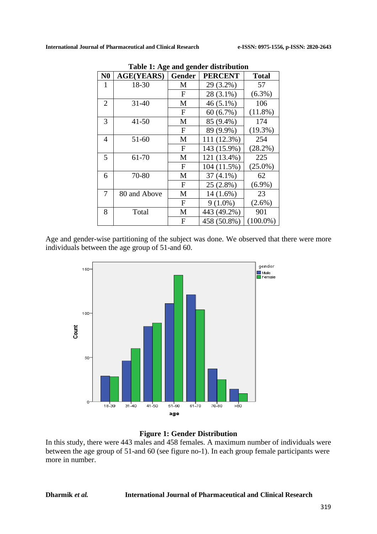| Table 1. Age and genuer distribution |                   |               |                |              |  |  |  |  |
|--------------------------------------|-------------------|---------------|----------------|--------------|--|--|--|--|
| N <sub>0</sub>                       | <b>AGE(YEARS)</b> | <b>Gender</b> | <b>PERCENT</b> | <b>Total</b> |  |  |  |  |
| 1                                    | 18-30             | М             | 29 (3.2%)      | 57           |  |  |  |  |
|                                      |                   | $\mathbf{F}$  | 28 (3.1%)      | $(6.3\%)$    |  |  |  |  |
| $\overline{2}$                       | $31 - 40$         | M             | $46(5.1\%)$    | 106          |  |  |  |  |
|                                      |                   | F             | $60(6.7\%)$    | $(11.8\%)$   |  |  |  |  |
| 3                                    | $41 - 50$         | M             | 85 (9.4%)      | 174          |  |  |  |  |
|                                      |                   | $\mathbf{F}$  | 89 (9.9%)      | $(19.3\%)$   |  |  |  |  |
| $\overline{4}$                       | 51-60             | M             | 111 (12.3%)    | 254          |  |  |  |  |
|                                      |                   | $\mathbf{F}$  | 143 (15.9%)    | (28.2%)      |  |  |  |  |
| 5                                    | 61-70             | M             | 121 (13.4%)    | 225          |  |  |  |  |
|                                      |                   | F             | 104 (11.5%)    | $(25.0\%)$   |  |  |  |  |
| 6                                    | 70-80             | M             | $37(4.1\%)$    | 62           |  |  |  |  |
|                                      |                   | $\mathbf{F}$  | $25(2.8\%)$    | $(6.9\%)$    |  |  |  |  |
| 7                                    | 80 and Above      | М             | $14(1.6\%)$    | 23           |  |  |  |  |
|                                      |                   | $\mathbf{F}$  | $9(1.0\%)$     | $(2.6\%)$    |  |  |  |  |
| 8                                    | Total             | M             | 443 (49.2%)    | 901          |  |  |  |  |
|                                      |                   | F             | 458 (50.8%)    | $(100.0\%)$  |  |  |  |  |

|  | Table 1: Age and gender distribution |
|--|--------------------------------------|
|  |                                      |

Age and gender-wise partitioning of the subject was done. We observed that there were more individuals between the age group of 51-and 60.



## **Figure 1: Gender Distribution**

In this study, there were 443 males and 458 females. A maximum number of individuals were between the age group of 51-and 60 (see figure no-1). In each group female participants were more in number.

#### **Dharmik** *et al.* **International Journal of Pharmaceutical and Clinical Research**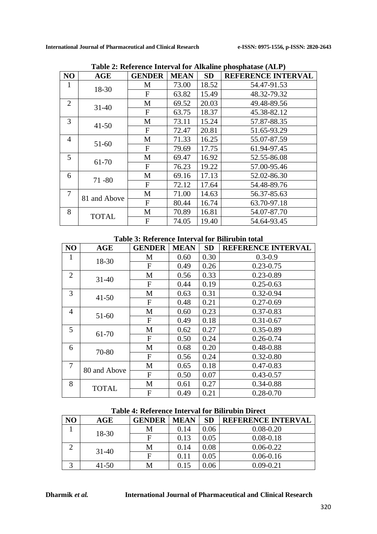|                |              | wie 2. Keich enee miech van 1914 maande | $\mu$ 100 $\mu$ 11 $\mu$ 100 $\mu$ 11 $\mu$ 1 |           |                           |
|----------------|--------------|-----------------------------------------|-----------------------------------------------|-----------|---------------------------|
| NO             | AGE          | <b>GENDER</b>                           | <b>MEAN</b>                                   | <b>SD</b> | <b>REFERENCE INTERVAL</b> |
| $\mathbf{1}$   | 18-30        | M                                       | 73.00                                         | 18.52     | 54.47-91.53               |
|                |              | $\mathbf{F}$                            | 63.82                                         | 15.49     | 48.32-79.32               |
| $\overline{2}$ | $31 - 40$    | M                                       | 69.52                                         | 20.03     | 49.48-89.56               |
|                |              | F                                       | 63.75                                         | 18.37     | 45.38-82.12               |
| 3              | $41 - 50$    | M                                       | 73.11                                         | 15.24     | 57.87-88.35               |
|                |              | $\mathbf{F}$                            | 72.47                                         | 20.81     | 51.65-93.29               |
| $\overline{4}$ |              | M                                       | 71.33                                         | 16.25     | 55.07-87.59               |
|                | 51-60        | $\mathbf F$                             | 79.69                                         | 17.75     | 61.94-97.45               |
| 5              | 61-70        | M                                       | 69.47                                         | 16.92     | 52.55-86.08               |
|                |              | F                                       | 76.23                                         | 19.22     | 57.00-95.46               |
| 6              | $71 - 80$    | M                                       | 69.16                                         | 17.13     | 52.02-86.30               |
|                |              | F                                       | 72.12                                         | 17.64     | 54.48-89.76               |
| 7              |              | M                                       | 71.00                                         | 14.63     | 56.37-85.63               |
|                | 81 and Above | $\mathbf F$                             | 80.44                                         | 16.74     | 63.70-97.18               |
| 8              | <b>TOTAL</b> | M                                       | 70.89                                         | 16.81     | 54.07-87.70               |
|                |              | F                                       | 74.05                                         | 19.40     | 54.64-93.45               |

**Table 2: Reference Interval for Alkaline phosphatase (ALP)**

#### **Table 3: Reference Interval for Bilirubin total**

| N <sub>O</sub> | <b>AGE</b>   | <b>GENDER</b>             | <b>MEAN</b> | <b>SD</b> | <b>REFERENCE INTERVAL</b> |
|----------------|--------------|---------------------------|-------------|-----------|---------------------------|
| $\mathbf{1}$   | 18-30        | М                         | 0.60        | 0.30      | $0.3 - 0.9$               |
|                |              | F                         | 0.49        | 0.26      | $0.23 - 0.75$             |
| $\overline{2}$ | $31 - 40$    | M                         | 0.56        | 0.33      | $0.23 - 0.89$             |
|                |              | F                         | 0.44        | 0.19      | $0.25 - 0.63$             |
| 3              |              | M                         | 0.63        | 0.31      | $0.32 - 0.94$             |
|                | $41 - 50$    | F                         | 0.48        | 0.21      | $0.27 - 0.69$             |
| $\overline{4}$ |              | M                         | 0.60        | 0.23      | $0.37 - 0.83$             |
|                | 51-60        | F                         | 0.49        | 0.18      | $0.31 - 0.67$             |
| 5              | 61-70        | M                         | 0.62        | 0.27      | $0.35 - 0.89$             |
|                |              | F                         | 0.50        | 0.24      | $0.26 - 0.74$             |
| 6              | 70-80        | M                         | 0.68        | 0.20      | 0.48-0.88                 |
|                |              | $\mathbf{F}$              | 0.56        | 0.24      | $0.32 - 0.80$             |
| 7              | 80 and Above | M                         | 0.65        | 0.18      | $0.47 - 0.83$             |
|                |              | $\boldsymbol{\mathrm{F}}$ | 0.50        | 0.07      | $0.43 - 0.57$             |
| 8              | <b>TOTAL</b> | M                         | 0.61        | 0.27      | $0.34 - 0.88$             |
|                |              | F                         | 0.49        | 0.21      | $0.28 - 0.70$             |

### **Table 4: Reference Interval for Bilirubin Direct**

| NO | AGE       | <b>GENDER</b> | <b>MEAN</b> | <b>SD</b> | <b>REFERENCE INTERVAL</b> |
|----|-----------|---------------|-------------|-----------|---------------------------|
|    | 18-30     | M             | 0.14        | 0.06      | $0.08 - 0.20$             |
|    |           |               | 0.13        | 0.05      | $0.08 - 0.18$             |
|    |           | М             | 0.14        | 0.08      | $0.06 - 0.22$             |
|    | $31-40$   | F             | 0.11        | 0.05      | $0.06 - 0.16$             |
|    | $41 - 50$ | Μ             | 0.15        | 0.06      | $0.09 - 0.21$             |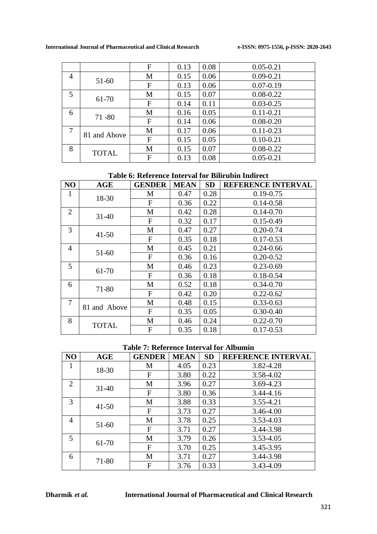|                |              | F | 0.13 | 0.08 | $0.05 - 0.21$ |
|----------------|--------------|---|------|------|---------------|
| $\overline{4}$ |              | M | 0.15 | 0.06 | $0.09 - 0.21$ |
|                | 51-60        | F | 0.13 | 0.06 | $0.07 - 0.19$ |
| 5              |              | M | 0.15 | 0.07 | $0.08 - 0.22$ |
|                | 61-70        | F | 0.14 | 0.11 | $0.03 - 0.25$ |
| 6              |              | M | 0.16 | 0.05 | $0.11 - 0.21$ |
|                | $71 - 80$    | F | 0.14 | 0.06 | $0.08 - 0.20$ |
| $\overline{7}$ |              | M | 0.17 | 0.06 | $0.11 - 0.23$ |
|                | 81 and Above | F | 0.15 | 0.05 | $0.10 - 0.21$ |
| 8              |              | M | 0.15 | 0.07 | $0.08 - 0.22$ |
|                | <b>TOTAL</b> | F | 0.13 | 0.08 | $0.05 - 0.21$ |

## **Table 6: Reference Interval for Bilirubin Indirect**

| NO             | AGE          | <b>GENDER</b> | <b>MEAN</b> | <b>SD</b> | <b>REFERENCE INTERVAL</b> |
|----------------|--------------|---------------|-------------|-----------|---------------------------|
| 1              | 18-30        | М             | 0.47        | 0.28      | $0.19 - 0.75$             |
|                |              | F             | 0.36        | 0.22      | $0.14 - 0.58$             |
| $\overline{2}$ | $31 - 40$    | M             | 0.42        | 0.28      | $0.14 - 0.70$             |
|                |              | F             | 0.32        | 0.17      | $0.15 - 0.49$             |
| 3              | $41 - 50$    | M             | 0.47        | 0.27      | $0.20 - 0.74$             |
|                |              | F             | 0.35        | 0.18      | $0.17 - 0.53$             |
| $\overline{4}$ | 51-60        | M             | 0.45        | 0.21      | $0.24 - 0.66$             |
|                |              | F             | 0.36        | 0.16      | $0.20 - 0.52$             |
| 5              | 61-70        | M             | 0.46        | 0.23      | $0.23 - 0.69$             |
|                |              | F             | 0.36        | 0.18      | $0.18 - 0.54$             |
| 6              | 71-80        | M             | 0.52        | 0.18      | $0.34 - 0.70$             |
|                |              | F             | 0.42        | 0.20      | $0.22 - 0.62$             |
| 7              | 81 and Above | M             | 0.48        | 0.15      | $0.33 - 0.63$             |
|                |              | F             | 0.35        | 0.05      | $0.30 - 0.40$             |
| 8              | <b>TOTAL</b> | M             | 0.46        | 0.24      | $0.22 - 0.70$             |
|                |              | F             | 0.35        | 0.18      | $0.17 - 0.53$             |

## **Table 7: Reference Interval for Albumin**

| N <sub>O</sub> | <b>AGE</b> | <b>GENDER</b> | <b>MEAN</b> | <b>SD</b> | <b>REFERENCE INTERVAL</b> |
|----------------|------------|---------------|-------------|-----------|---------------------------|
| 1              | 18-30      | M             | 4.05        | 0.23      | 3.82-4.28                 |
|                |            | $\mathbf{F}$  | 3.80        | 0.22      | 3.58-4.02                 |
| 2              | $31 - 40$  | M             | 3.96        | 0.27      | 3.69-4.23                 |
|                |            | $\mathbf F$   | 3.80        | 0.36      | 3.44-4.16                 |
| 3              | $41 - 50$  | M             | 3.88        | 0.33      | 3.55-4.21                 |
|                |            | $\mathbf{F}$  | 3.73        | 0.27      | 3.46-4.00                 |
| $\overline{4}$ | 51-60      | M             | 3.78        | 0.25      | 3.53-4.03                 |
|                |            | $\mathbf{F}$  | 3.71        | 0.27      | 3.44-3.98                 |
| 5              |            | M             | 3.79        | 0.26      | 3.53-4.05                 |
|                | 61-70      | F             | 3.70        | 0.25      | 3.45-3.95                 |
| 6              | 71-80      | M             | 3.71        | 0.27      | 3.44-3.98                 |
|                |            | F             | 3.76        | 0.33      | 3.43-4.09                 |

#### **Dharmik** *et al.* **International Journal of Pharmaceutical and Clinical Research**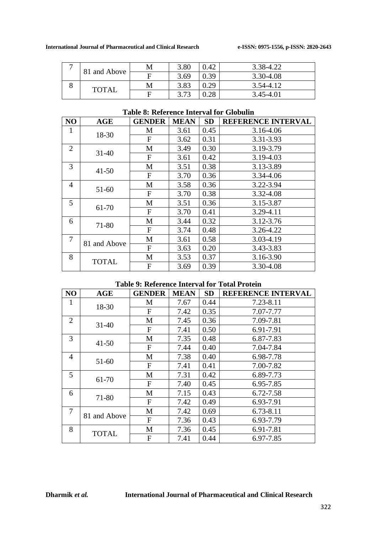|   | 81 and Above | M | 3.80 | 0.42 | 3.38-4.22 |
|---|--------------|---|------|------|-----------|
|   |              |   | 3.69 | 0.39 | 3.30-4.08 |
| U | <b>TOTAL</b> | М | 3.83 | 0.29 | 3.54-4.12 |
|   |              |   | 3.73 | 0.28 | 3.45-4.01 |

## **Table 8: Reference Interval for Globulin**

| NO             | <b>AGE</b>   | <b>GENDER</b> | <b>MEAN</b> | <b>SD</b> | <b>REFERENCE INTERVAL</b> |
|----------------|--------------|---------------|-------------|-----------|---------------------------|
| $\mathbf{1}$   | 18-30        | M             | 3.61        | 0.45      | 3.16-4.06                 |
|                |              | $\mathbf{F}$  | 3.62        | 0.31      | 3.31-3.93                 |
| $\overline{2}$ | $31 - 40$    | M             | 3.49        | 0.30      | 3.19-3.79                 |
|                |              | $\mathbf F$   | 3.61        | 0.42      | 3.19-4.03                 |
| 3              |              | M             | 3.51        | 0.38      | 3.13-3.89                 |
|                | $41 - 50$    | $\mathbf{F}$  | 3.70        | 0.36      | 3.34-4.06                 |
| $\overline{4}$ | 51-60        | M             | 3.58        | 0.36      | 3.22-3.94                 |
|                |              | $\mathbf F$   | 3.70        | 0.38      | 3.32-4.08                 |
| 5              | 61-70        | M             | 3.51        | 0.36      | 3.15-3.87                 |
|                |              | $\mathbf F$   | 3.70        | 0.41      | 3.29-4.11                 |
| 6              | 71-80        | M             | 3.44        | 0.32      | 3.12-3.76                 |
|                |              | $\mathbf F$   | 3.74        | 0.48      | 3.26-4.22                 |
| 7              | 81 and Above | M             | 3.61        | 0.58      | 3.03-4.19                 |
|                |              | $\mathbf F$   | 3.63        | 0.20      | 3.43-3.83                 |
| 8              | <b>TOTAL</b> | M             | 3.53        | 0.37      | 3.16-3.90                 |
|                |              | F             | 3.69        | 0.39      | 3.30-4.08                 |

### **Table 9: Reference Interval for Total Protein**

| N <sub>O</sub> | AGE          | <b>GENDER</b> | <b>MEAN</b> | <b>SD</b> | REFERENCE INTERVAL |
|----------------|--------------|---------------|-------------|-----------|--------------------|
| 1              | 18-30        | M             | 7.67        | 0.44      | 7.23-8.11          |
|                |              | F             | 7.42        | 0.35      | 7.07-7.77          |
| $\overline{2}$ | $31 - 40$    | M             | 7.45        | 0.36      | 7.09-7.81          |
|                |              | $\mathbf F$   | 7.41        | 0.50      | 6.91-7.91          |
| 3              |              | M             | 7.35        | 0.48      | 6.87-7.83          |
|                | $41 - 50$    | $\mathbf{F}$  | 7.44        | 0.40      | 7.04-7.84          |
| $\overline{4}$ |              | M             | 7.38        | 0.40      | 6.98-7.78          |
|                | 51-60        | $\mathbf{F}$  | 7.41        | 0.41      | 7.00-7.82          |
| 5              | 61-70        | M             | 7.31        | 0.42      | 6.89-7.73          |
|                |              | $\mathbf F$   | 7.40        | 0.45      | 6.95-7.85          |
| 6              | 71-80        | M             | 7.15        | 0.43      | 6.72-7.58          |
|                |              | $\mathbf{F}$  | 7.42        | 0.49      | 6.93-7.91          |
| $\overline{7}$ | 81 and Above | M             | 7.42        | 0.69      | 6.73-8.11          |
|                |              | $\mathbf{F}$  | 7.36        | 0.43      | 6.93-7.79          |
| 8              | <b>TOTAL</b> | M             | 7.36        | 0.45      | 6.91-7.81          |
|                |              | F             | 7.41        | 0.44      | 6.97-7.85          |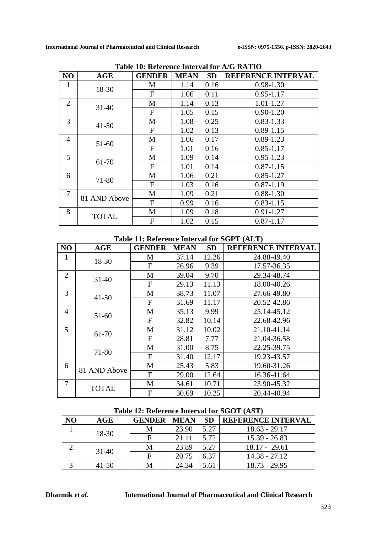|                | radio romandi chee miter val lor la cristatico |                |             |           |                           |  |  |
|----------------|------------------------------------------------|----------------|-------------|-----------|---------------------------|--|--|
| NO             | <b>AGE</b>                                     | <b>GENDER</b>  | <b>MEAN</b> | <b>SD</b> | <b>REFERENCE INTERVAL</b> |  |  |
| 1              | 18-30                                          | М              | 1.14        | 0.16      | $0.98 - 1.30$             |  |  |
|                |                                                | $\mathbf{F}$   | 1.06        | 0.11      | $0.95 - 1.17$             |  |  |
| $\overline{2}$ | $31 - 40$                                      | М              | 1.14        | 0.13      | 1.01-1.27                 |  |  |
|                |                                                | F              | 1.05        | 0.15      | $0.90 - 1.20$             |  |  |
| 3              | $41 - 50$                                      | M              | 1.08        | 0.25      | $0.83 - 1.33$             |  |  |
|                |                                                | $\mathbf{F}$   | 1.02        | 0.13      | $0.89 - 1.15$             |  |  |
| $\overline{4}$ | 51-60                                          | M              | 1.06        | 0.17      | $0.89 - 1.23$             |  |  |
|                |                                                | $\mathbf{F}$   | 1.01        | 0.16      | $0.85 - 1.17$             |  |  |
| 5              | 61-70                                          | M              | 1.09        | 0.14      | $0.95 - 1.23$             |  |  |
|                |                                                | $\mathbf{F}$   | 1.01        | 0.14      | $0.87 - 1.15$             |  |  |
| 6              | 71-80                                          | M              | 1.06        | 0.21      | $0.85 - 1.27$             |  |  |
|                |                                                | $\mathbf{F}$   | 1.03        | 0.16      | $0.87 - 1.19$             |  |  |
| 7              | 81 AND Above                                   | M              | 1.09        | 0.21      | $0.88 - 1.30$             |  |  |
|                |                                                | $\mathbf{F}$   | 0.99        | 0.16      | $0.83 - 1.15$             |  |  |
| 8              | <b>TOTAL</b>                                   | M              | 1.09        | 0.18      | $0.91 - 1.27$             |  |  |
|                |                                                | $\overline{F}$ | 1.02        | 0.15      | $0.87 - 1.17$             |  |  |

**Table 10: Reference Interval for A/G RATIO**

#### **Table 11: Reference Interval for SGPT (ALT)**

| NO             | <b>AGE</b>   | <b>GENDER</b> | <b>MEAN</b> | <b>SD</b> | <b>REFERENCE INTERVAL</b> |
|----------------|--------------|---------------|-------------|-----------|---------------------------|
| 1              | 18-30        | M             | 37.14       | 12.26     | 24.88-49.40               |
|                |              | $\mathbf{F}$  | 26.96       | 9.39      | 17.57-36.35               |
| $\overline{2}$ | $31 - 40$    | M             | 39.04       | 9.70      | 29.34-48.74               |
|                |              | $\mathbf F$   | 29.13       | 11.13     | 18.00-40.26               |
| 3              | $41 - 50$    | M             | 38.73       | 11.07     | 27.66-49.80               |
|                |              | $\mathbf F$   | 31.69       | 11.17     | 20.52-42.86               |
| $\overline{4}$ | $51 - 60$    | M             | 35.13       | 9.99      | 25.14-45.12               |
|                |              | $\mathbf{F}$  | 32.82       | 10.14     | 22.68-42.96               |
| 5              | 61-70        | M             | 31.12       | 10.02     | 21.10-41.14               |
|                |              | $\mathbf{F}$  | 28.81       | 7.77      | 21.04-36.58               |
|                | 71-80        | M             | 31.00       | 8.75      | 22.25-39.75               |
|                |              | $\mathbf{F}$  | 31.40       | 12.17     | 19.23-43.57               |
| 6              | 81 AND Above | M             | 25.43       | 5.83      | 19.60-31.26               |
|                |              | $\mathbf F$   | 29.00       | 12.64     | 16.36-41.64               |
| $\overline{7}$ | <b>TOTAL</b> | M             | 34.61       | 10.71     | 23.90-45.32               |
|                |              | $\mathbf{F}$  | 30.69       | 10.25     | 20.44-40.94               |

### **Table 12: Reference Interval for SGOT (AST)**

|  | AGE       | <b>GENDER</b> | <b>MEAN</b> | <b>SD</b> | <b>REFERENCE INTERVAL</b> |  |  |  |
|--|-----------|---------------|-------------|-----------|---------------------------|--|--|--|
|  | 18-30     | М             | 23.90       | 5.27      | $18.63 - 29.17$           |  |  |  |
|  |           |               | 21.11       | 5.72      | $15.39 - 26.83$           |  |  |  |
|  | $31-40$   | М             | 23.89       | 5.27      | $18.17 - 29.61$           |  |  |  |
|  |           |               | 20.75       | 6.37      | $14.38 - 27.12$           |  |  |  |
|  | $41 - 50$ |               | 24.34       | 5.61      | $18.73 - 29.95$           |  |  |  |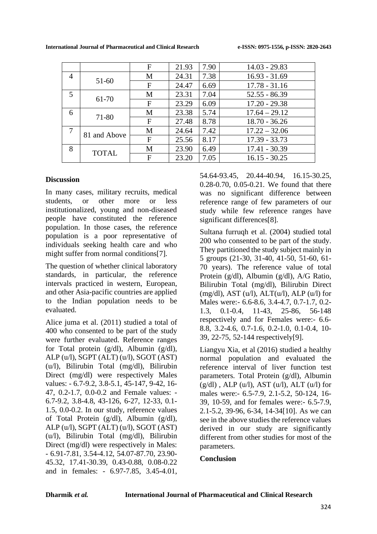|   |              | F            | 21.93 | 7.90 | $14.03 - 29.83$ |
|---|--------------|--------------|-------|------|-----------------|
| 4 | 51-60        | M            | 24.31 | 7.38 | $16.93 - 31.69$ |
|   |              | $\mathbf{F}$ | 24.47 | 6.69 | $17.78 - 31.16$ |
| 5 | 61-70        | M            | 23.31 | 7.04 | $52.55 - 86.39$ |
|   |              | F            | 23.29 | 6.09 | $17.20 - 29.38$ |
| 6 | 71-80        | M            | 23.38 | 5.74 | $17.64 - 29.12$ |
|   |              | F            | 27.48 | 8.78 | $18.70 - 36.26$ |
| 7 | 81 and Above | M            | 24.64 | 7.42 | $17.22 - 32.06$ |
|   |              | $\mathbf{F}$ | 25.56 | 8.17 | $17.39 - 33.73$ |
| 8 | <b>TOTAL</b> | M            | 23.90 | 6.49 | $17.41 - 30.39$ |
|   |              | F            | 23.20 | 7.05 | $16.15 - 30.25$ |

## **Discussion**

In many cases, military recruits, medical students, or other more or less institutionalized, young and non-diseased people have constituted the reference population. In those cases, the reference population is a poor representative of individuals seeking health care and who might suffer from normal conditions[7].

The question of whether clinical laboratory standards, in particular, the reference intervals practiced in western, European, and other Asia-pacific countries are applied to the Indian population needs to be evaluated.

Alice juma et al. (2011) studied a total of 400 who consented to be part of the study were further evaluated. Reference ranges for Total protein (g/dl), Albumin (g/dl), ALP (u/l), SGPT (ALT) (u/l), SGOT (AST) (u/l), Bilirubin Total (mg/dl), Bilirubin Direct (mg/dl) were respectively Males values: - 6.7-9.2, 3.8-5.1, 45-147, 9-42, 16- 47, 0.2-1.7, 0.0-0.2 and Female values: - 6.7-9.2, 3.8-4.8, 43-126, 6-27, 12-33, 0.1- 1.5, 0.0-0.2. In our study, reference values of Total Protein (g/dl), Albumin (g/dl), ALP (u/l), SGPT (ALT) (u/l), SGOT (AST) (u/l), Bilirubin Total (mg/dl), Bilirubin Direct (mg/dl) were respectively in Males: - 6.91-7.81, 3.54-4.12, 54.07-87.70, 23.90- 45.32, 17.41-30.39, 0.43-0.88, 0.08-0.22 and in females: - 6.97-7.85, 3.45-4.01, 54.64-93.45, 20.44-40.94, 16.15-30.25, 0.28-0.70, 0.05-0.21. We found that there was no significant difference between reference range of few parameters of our study while few reference ranges have significant differences<sup>[8]</sup>.

Sultana furruqh et al. (2004) studied total 200 who consented to be part of the study. They partitioned the study subject mainly in 5 groups (21-30, 31-40, 41-50, 51-60, 61- 70 years). The reference value of total Protein (g/dl), Albumin (g/dl), A/G Ratio, Bilirubin Total (mg/dl), Bilirubin Direct  $(mg/dl)$ , AST  $(u/l)$ , ALT $(u/l)$ , ALP $(u/l)$  for Males were:- 6.6-8.6, 3.4-4.7, 0.7-1.7, 0.2- 1.3, 0.1-0.4, 11-43, 25-86, 56-148 respectively and for Females were:- 6.6- 8.8, 3.2-4.6, 0.7-1.6, 0.2-1.0, 0.1-0.4, 10- 39, 22-75, 52-144 respectively[9].

Liangyu Xia, et al (2016) studied a healthy normal population and evaluated the reference interval of liver function test parameters. Total Protein (g/dl), Albumin  $(g/dl)$ , ALP  $(u/l)$ , AST  $(u/l)$ , ALT  $(u/l)$  for males were:- 6.5-7.9, 2.1-5.2, 50-124, 16- 39, 10-59, and for females were:- 6.5-7.9, 2.1-5.2, 39-96, 6-34, 14-34[10]. As we can see in the above studies the reference values derived in our study are significantly different from other studies for most of the parameters.

## **Conclusion**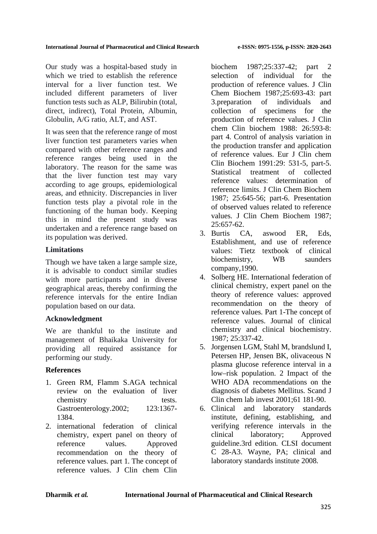Our study was a hospital-based study in which we tried to establish the reference interval for a liver function test. We included different parameters of liver function tests such as ALP, Bilirubin (total, direct, indirect), Total Protein, Albumin, Globulin, A/G ratio, ALT, and AST.

It was seen that the reference range of most liver function test parameters varies when compared with other reference ranges and reference ranges being used in the laboratory. The reason for the same was that the liver function test may vary according to age groups, epidemiological areas, and ethnicity. Discrepancies in liver function tests play a pivotal role in the functioning of the human body. Keeping this in mind the present study was undertaken and a reference range based on its population was derived.

## **Limitations**

Though we have taken a large sample size, it is advisable to conduct similar studies with more participants and in diverse geographical areas, thereby confirming the reference intervals for the entire Indian population based on our data.

## **Acknowledgment**

We are thankful to the institute and management of Bhaikaka University for providing all required assistance for performing our study.

## **References**

- 1. Green RM, Flamm S.AGA technical review on the evaluation of liver chemistry tests. Gastroenterology.2002; 123:1367- 1384.
- 2. international federation of clinical chemistry, expert panel on theory of reference values. Approved recommendation on the theory of reference values. part 1. The concept of reference values. J Clin chem Clin

biochem 1987;25:337-42; part 2 selection of individual for the production of reference values. J Clin Chem Biochem 1987;25:693-43: part 3.preparation of individuals and collection of specimens for the production of reference values. J Clin chem Clin biochem 1988: 26:593-8: part 4. Control of analysis variation in the production transfer and application of reference values. Eur J Clin chem Clin Biochem 1991:29: 531-5, part-5. Statistical treatment of collected reference values: determination of reference limits. J Clin Chem Biochem 1987; 25:645-56; part-6. Presentation of observed values related to reference values. J Clin Chem Biochem 1987; 25:657-62.

- 3. Burtis CA, aswood ER, Eds, Establishment, and use of reference values: Tietz textbook of clinical biochemistry, WB saunders company,1990.
- 4. Solberg HE. International federation of clinical chemistry, expert panel on the theory of reference values: approved recommendation on the theory of reference values. Part 1-The concept of reference values. Journal of clinical chemistry and clinical biochemistry. 1987; 25:337-42.
- 5. Jorgensen LGM, Stahl M, brandslund I, Petersen HP, Jensen BK, olivaceous N plasma glucose reference interval in a low–risk population. 2 Impact of the WHO ADA recommendations on the diagnosis of diabetes Mellitus. Scand J Clin chem lab invest 2001;61 181-90.
- 6. Clinical and laboratory standards institute, defining, establishing, and verifying reference intervals in the clinical laboratory; Approved guideline.3rd edition. CLSI document C 28-A3. Wayne, PA; clinical and laboratory standards institute 2008.